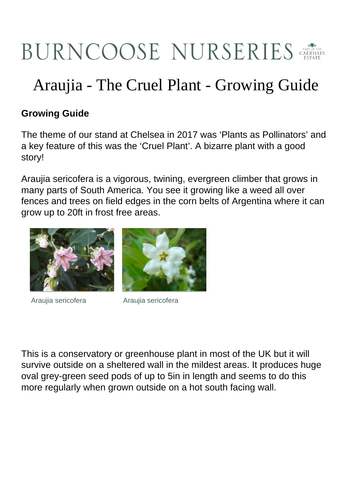## **BURNCOOSE NURSERIES**

## Araujia - The Cruel Plant - Growing Guide

## **Growing Guide**

The theme of our stand at Chelsea in 2017 was 'Plants as Pollinators' and a key feature of this was the 'Cruel Plant'. A bizarre plant with a good story!

Araujia sericofera is a vigorous, twining, evergreen climber that grows in many parts of South America. You see it growing like a weed all over fences and trees on field edges in the corn belts of Argentina where it can grow up to 20ft in frost free areas.





Araujia sericofera **Araujia sericofera** 

This is a conservatory or greenhouse plant in most of the UK but it will survive outside on a sheltered wall in the mildest areas. It produces huge oval grey-green seed pods of up to 5in in length and seems to do this more regularly when grown outside on a hot south facing wall.